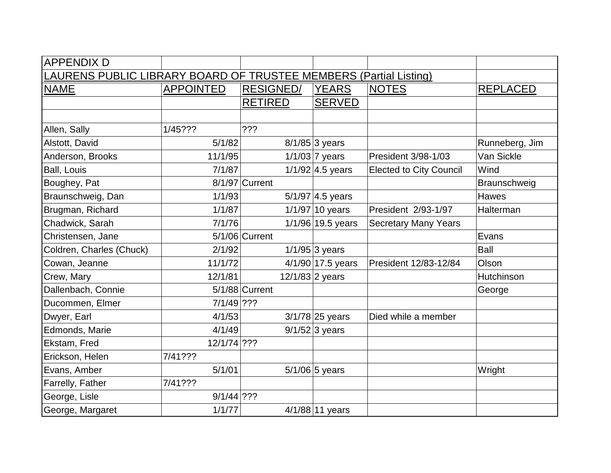| <b>APPENDIX D</b>                                                        |                  |                  |                     |                                |                 |  |  |  |
|--------------------------------------------------------------------------|------------------|------------------|---------------------|--------------------------------|-----------------|--|--|--|
| <b>LAURENS PUBLIC LIBRARY BOARD OF TRUSTEE MEMBERS (Partial Listing)</b> |                  |                  |                     |                                |                 |  |  |  |
| <b>NAME</b>                                                              | <b>APPOINTED</b> | <b>RESIGNED/</b> | <b>YEARS</b>        | <b>NOTES</b>                   | <b>REPLACED</b> |  |  |  |
|                                                                          |                  | <b>RETIRED</b>   | <b>SERVED</b>       |                                |                 |  |  |  |
|                                                                          |                  |                  |                     |                                |                 |  |  |  |
| Allen, Sally                                                             | 1/45???          | ???              |                     |                                |                 |  |  |  |
| Alstott, David                                                           | 5/1/82           |                  | $8/1/85$ 3 years    |                                | Runneberg, Jim  |  |  |  |
| Anderson, Brooks                                                         | 11/1/95          |                  | $1/1/03$ 7 years    | <b>President 3/98-1/03</b>     | Van Sickle      |  |  |  |
| Ball, Louis                                                              | 7/1/87           |                  | $1/1/92$ 4.5 years  | <b>Elected to City Council</b> | Wind            |  |  |  |
| Boughey, Pat                                                             |                  | 8/1/97 Current   |                     |                                | Braunschweig    |  |  |  |
| Braunschweig, Dan                                                        | 1/1/93           |                  | $5/1/97$ 4.5 years  |                                | <b>Hawes</b>    |  |  |  |
| Brugman, Richard                                                         | 1/1/87           |                  | $1/1/97$ 10 years   | President 2/93-1/97            | Halterman       |  |  |  |
| Chadwick, Sarah                                                          | 7/1/76           |                  | $1/1/96$ 19.5 years | <b>Secretary Many Years</b>    |                 |  |  |  |
| Christensen, Jane                                                        |                  | $5/1/06$ Current |                     |                                | Evans           |  |  |  |
| Coldren, Charles (Chuck)                                                 | 2/1/92           |                  | $1/1/95$ 3 years    |                                | <b>Ball</b>     |  |  |  |
| Cowan, Jeanne                                                            | 11/1/72          |                  | 4/1/90 17.5 years   | President 12/83-12/84          | Olson           |  |  |  |
| Crew, Mary                                                               | 12/1/81          |                  | $12/1/83$ 2 years   |                                | Hutchinson      |  |  |  |
| Dallenbach, Connie                                                       |                  | $5/1/88$ Current |                     |                                | George          |  |  |  |
| Ducommen, Elmer                                                          | $7/1/49$ ???     |                  |                     |                                |                 |  |  |  |
| Dwyer, Earl                                                              | 4/1/53           |                  | $3/1/78$ 25 years   | Died while a member            |                 |  |  |  |
| Edmonds, Marie                                                           | 4/1/49           |                  | $9/1/52$ 3 years    |                                |                 |  |  |  |
| Ekstam, Fred                                                             | 12/1/74 ???      |                  |                     |                                |                 |  |  |  |
| Erickson, Helen                                                          | 7/41???          |                  |                     |                                |                 |  |  |  |
| Evans, Amber                                                             | 5/1/01           |                  | $5/1/06$ 5 years    |                                | Wright          |  |  |  |
| Farrelly, Father                                                         | 7/41???          |                  |                     |                                |                 |  |  |  |
| George, Lisle                                                            | $9/1/44$ ???     |                  |                     |                                |                 |  |  |  |
| George, Margaret                                                         | 1/1/77           |                  | $4/1/88$ 11 years   |                                |                 |  |  |  |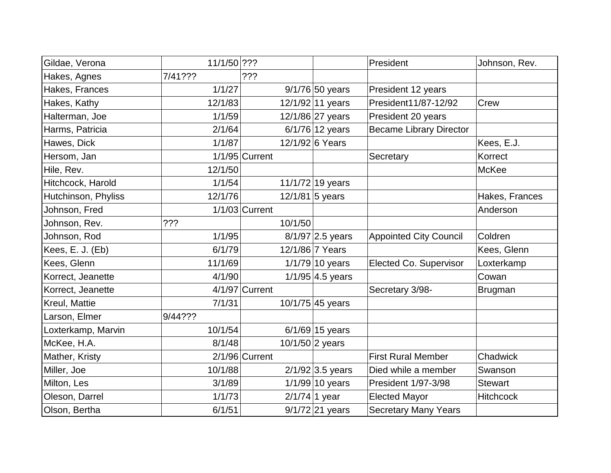| Gildae, Verona      | 11/1/50 ??? |                  |                    | President                      | Johnson, Rev.    |
|---------------------|-------------|------------------|--------------------|--------------------------------|------------------|
| Hakes, Agnes        | 7/41???     | ???              |                    |                                |                  |
| Hakes, Frances      | 1/1/27      |                  | $9/1/76$ 50 years  | President 12 years             |                  |
| Hakes, Kathy        | 12/1/83     |                  | 12/1/92 11 years   | President11/87-12/92           | Crew             |
| Halterman, Joe      | 1/1/59      |                  | 12/1/86 27 years   | President 20 years             |                  |
| Harms, Patricia     | 2/1/64      |                  | $6/1/76$ 12 years  | <b>Became Library Director</b> |                  |
| Hawes, Dick         | 1/1/87      |                  | 12/1/92 6 Years    |                                | Kees, E.J.       |
| Hersom, Jan         |             | $1/1/95$ Current |                    | Secretary                      | Korrect          |
| Hile, Rev.          | 12/1/50     |                  |                    |                                | <b>McKee</b>     |
| Hitchcock, Harold   | 1/1/54      |                  | 11/1/72 19 years   |                                |                  |
| Hutchinson, Phyliss | 12/1/76     |                  | 12/1/81 5 years    |                                | Hakes, Frances   |
| Johnson, Fred       |             | $1/1/03$ Current |                    |                                | Anderson         |
| Johnson, Rev.       | ???         | 10/1/50          |                    |                                |                  |
| Johnson, Rod        | 1/1/95      |                  | $8/1/97$ 2.5 years | <b>Appointed City Council</b>  | Coldren          |
| Kees, E. J. (Eb)    | 6/1/79      |                  | 12/1/86 7 Years    |                                | Kees, Glenn      |
| Kees, Glenn         | 11/1/69     |                  | $1/1/79$ 10 years  | <b>Elected Co. Supervisor</b>  | Loxterkamp       |
| Korrect, Jeanette   | 4/1/90      |                  | $1/1/95$ 4.5 years |                                | Cowan            |
| Korrect, Jeanette   |             | $4/1/97$ Current |                    | Secretary 3/98-                | <b>Brugman</b>   |
| Kreul, Mattie       | 7/1/31      |                  | 10/1/75 45 years   |                                |                  |
| Larson, Elmer       | 9/44???     |                  |                    |                                |                  |
| Loxterkamp, Marvin  | 10/1/54     |                  | $6/1/69$ 15 years  |                                |                  |
| McKee, H.A.         | 8/1/48      |                  | 10/1/50 2 years    |                                |                  |
| Mather, Kristy      |             | $2/1/96$ Current |                    | <b>First Rural Member</b>      | Chadwick         |
| Miller, Joe         | 10/1/88     |                  | $2/1/92$ 3.5 years | Died while a member            | Swanson          |
| Milton, Les         | 3/1/89      |                  | $1/1/99$ 10 years  | President 1/97-3/98            | <b>Stewart</b>   |
| Oleson, Darrel      | 1/1/73      |                  | $2/1/74$ 1 year    | <b>Elected Mayor</b>           | <b>Hitchcock</b> |
| Olson, Bertha       | 6/1/51      |                  | $9/1/72$ 21 years  | <b>Secretary Many Years</b>    |                  |